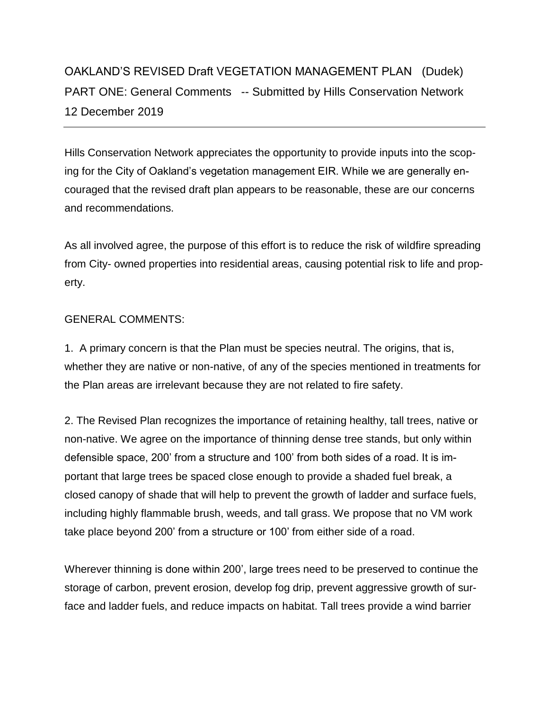## OAKLAND'S REVISED Draft VEGETATION MANAGEMENT PLAN (Dudek) PART ONE: General Comments -- Submitted by Hills Conservation Network 12 December 2019

Hills Conservation Network appreciates the opportunity to provide inputs into the scoping for the City of Oakland's vegetation management EIR. While we are generally encouraged that the revised draft plan appears to be reasonable, these are our concerns and recommendations.

As all involved agree, the purpose of this effort is to reduce the risk of wildfire spreading from City- owned properties into residential areas, causing potential risk to life and property.

## GENERAL COMMENTS:

1. A primary concern is that the Plan must be species neutral. The origins, that is, whether they are native or non-native, of any of the species mentioned in treatments for the Plan areas are irrelevant because they are not related to fire safety.

2. The Revised Plan recognizes the importance of retaining healthy, tall trees, native or non-native. We agree on the importance of thinning dense tree stands, but only within defensible space, 200' from a structure and 100' from both sides of a road. It is important that large trees be spaced close enough to provide a shaded fuel break, a closed canopy of shade that will help to prevent the growth of ladder and surface fuels, including highly flammable brush, weeds, and tall grass. We propose that no VM work take place beyond 200' from a structure or 100' from either side of a road.

Wherever thinning is done within 200', large trees need to be preserved to continue the storage of carbon, prevent erosion, develop fog drip, prevent aggressive growth of surface and ladder fuels, and reduce impacts on habitat. Tall trees provide a wind barrier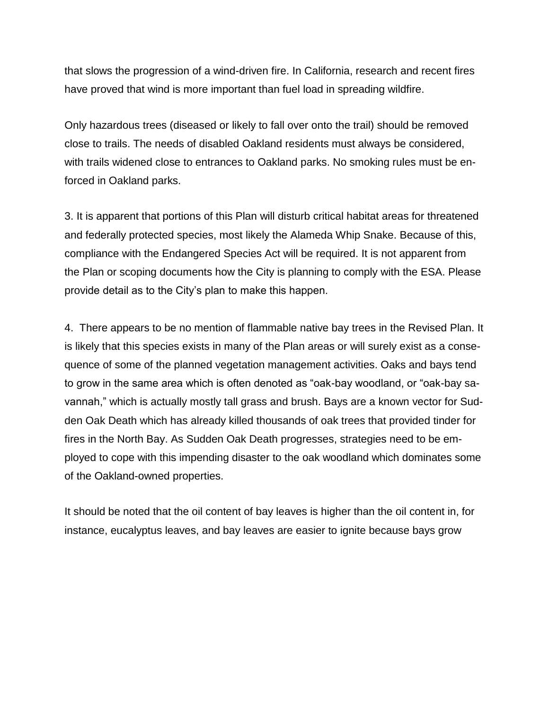that slows the progression of a wind-driven fire. In California, research and recent fires have proved that wind is more important than fuel load in spreading wildfire.

Only hazardous trees (diseased or likely to fall over onto the trail) should be removed close to trails. The needs of disabled Oakland residents must always be considered, with trails widened close to entrances to Oakland parks. No smoking rules must be enforced in Oakland parks.

3. It is apparent that portions of this Plan will disturb critical habitat areas for threatened and federally protected species, most likely the Alameda Whip Snake. Because of this, compliance with the Endangered Species Act will be required. It is not apparent from the Plan or scoping documents how the City is planning to comply with the ESA. Please provide detail as to the City's plan to make this happen.

4. There appears to be no mention of flammable native bay trees in the Revised Plan. It is likely that this species exists in many of the Plan areas or will surely exist as a consequence of some of the planned vegetation management activities. Oaks and bays tend to grow in the same area which is often denoted as "oak-bay woodland, or "oak-bay savannah," which is actually mostly tall grass and brush. Bays are a known vector for Sudden Oak Death which has already killed thousands of oak trees that provided tinder for fires in the North Bay. As Sudden Oak Death progresses, strategies need to be employed to cope with this impending disaster to the oak woodland which dominates some of the Oakland-owned properties.

It should be noted that the oil content of bay leaves is higher than the oil content in, for instance, eucalyptus leaves, and bay leaves are easier to ignite because bays grow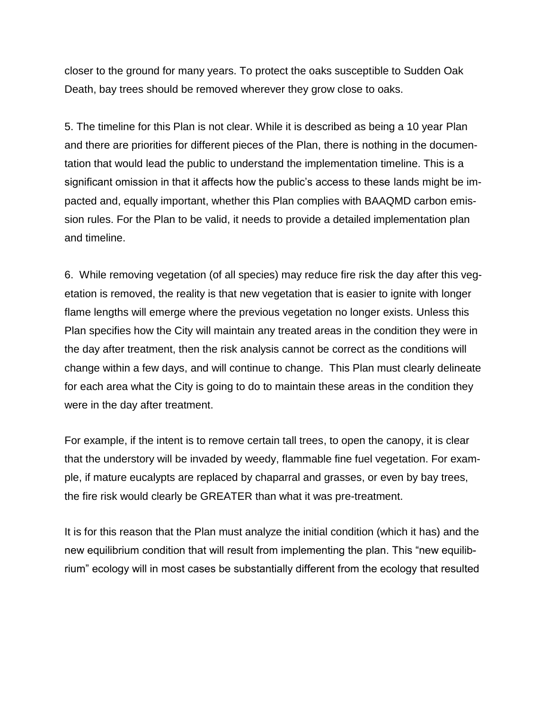closer to the ground for many years. To protect the oaks susceptible to Sudden Oak Death, bay trees should be removed wherever they grow close to oaks.

5. The timeline for this Plan is not clear. While it is described as being a 10 year Plan and there are priorities for different pieces of the Plan, there is nothing in the documentation that would lead the public to understand the implementation timeline. This is a significant omission in that it affects how the public's access to these lands might be impacted and, equally important, whether this Plan complies with BAAQMD carbon emission rules. For the Plan to be valid, it needs to provide a detailed implementation plan and timeline.

6. While removing vegetation (of all species) may reduce fire risk the day after this vegetation is removed, the reality is that new vegetation that is easier to ignite with longer flame lengths will emerge where the previous vegetation no longer exists. Unless this Plan specifies how the City will maintain any treated areas in the condition they were in the day after treatment, then the risk analysis cannot be correct as the conditions will change within a few days, and will continue to change. This Plan must clearly delineate for each area what the City is going to do to maintain these areas in the condition they were in the day after treatment.

For example, if the intent is to remove certain tall trees, to open the canopy, it is clear that the understory will be invaded by weedy, flammable fine fuel vegetation. For example, if mature eucalypts are replaced by chaparral and grasses, or even by bay trees, the fire risk would clearly be GREATER than what it was pre-treatment.

It is for this reason that the Plan must analyze the initial condition (which it has) and the new equilibrium condition that will result from implementing the plan. This "new equilibrium" ecology will in most cases be substantially different from the ecology that resulted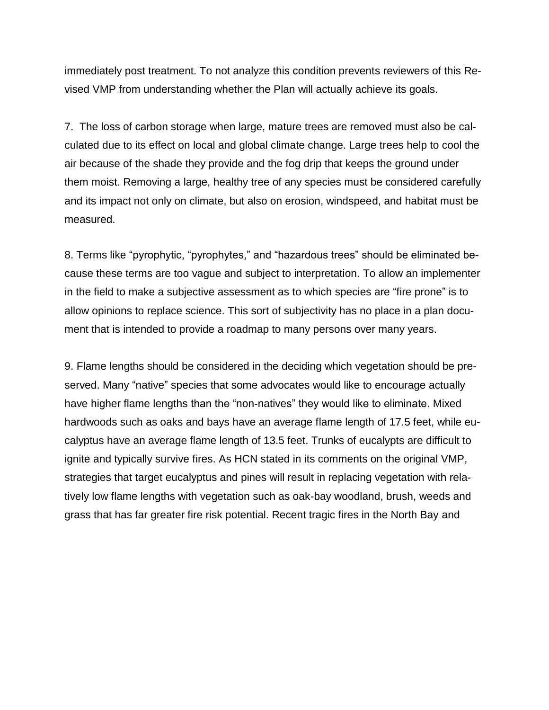immediately post treatment. To not analyze this condition prevents reviewers of this Revised VMP from understanding whether the Plan will actually achieve its goals.

7. The loss of carbon storage when large, mature trees are removed must also be calculated due to its effect on local and global climate change. Large trees help to cool the air because of the shade they provide and the fog drip that keeps the ground under them moist. Removing a large, healthy tree of any species must be considered carefully and its impact not only on climate, but also on erosion, windspeed, and habitat must be measured.

8. Terms like "pyrophytic, "pyrophytes," and "hazardous trees" should be eliminated because these terms are too vague and subject to interpretation. To allow an implementer in the field to make a subjective assessment as to which species are "fire prone" is to allow opinions to replace science. This sort of subjectivity has no place in a plan document that is intended to provide a roadmap to many persons over many years.

9. Flame lengths should be considered in the deciding which vegetation should be preserved. Many "native" species that some advocates would like to encourage actually have higher flame lengths than the "non-natives" they would like to eliminate. Mixed hardwoods such as oaks and bays have an average flame length of 17.5 feet, while eucalyptus have an average flame length of 13.5 feet. Trunks of eucalypts are difficult to ignite and typically survive fires. As HCN stated in its comments on the original VMP, strategies that target eucalyptus and pines will result in replacing vegetation with relatively low flame lengths with vegetation such as oak-bay woodland, brush, weeds and grass that has far greater fire risk potential. Recent tragic fires in the North Bay and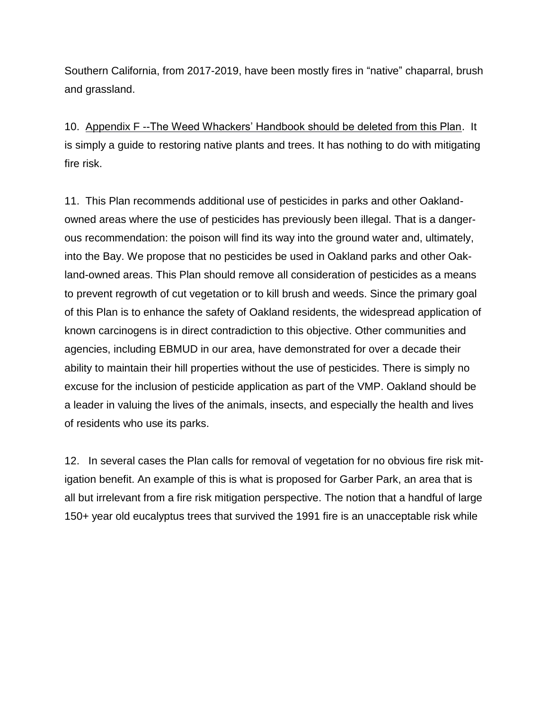Southern California, from 2017-2019, have been mostly fires in "native" chaparral, brush and grassland.

10. Appendix F --The Weed Whackers' Handbook should be deleted from this Plan. It is simply a guide to restoring native plants and trees. It has nothing to do with mitigating fire risk.

11. This Plan recommends additional use of pesticides in parks and other Oaklandowned areas where the use of pesticides has previously been illegal. That is a dangerous recommendation: the poison will find its way into the ground water and, ultimately, into the Bay. We propose that no pesticides be used in Oakland parks and other Oakland-owned areas. This Plan should remove all consideration of pesticides as a means to prevent regrowth of cut vegetation or to kill brush and weeds. Since the primary goal of this Plan is to enhance the safety of Oakland residents, the widespread application of known carcinogens is in direct contradiction to this objective. Other communities and agencies, including EBMUD in our area, have demonstrated for over a decade their ability to maintain their hill properties without the use of pesticides. There is simply no excuse for the inclusion of pesticide application as part of the VMP. Oakland should be a leader in valuing the lives of the animals, insects, and especially the health and lives of residents who use its parks.

12. In several cases the Plan calls for removal of vegetation for no obvious fire risk mitigation benefit. An example of this is what is proposed for Garber Park, an area that is all but irrelevant from a fire risk mitigation perspective. The notion that a handful of large 150+ year old eucalyptus trees that survived the 1991 fire is an unacceptable risk while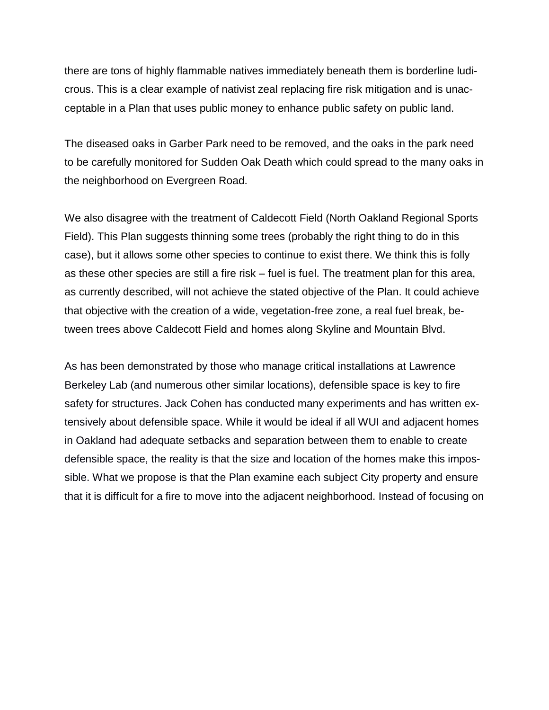there are tons of highly flammable natives immediately beneath them is borderline ludicrous. This is a clear example of nativist zeal replacing fire risk mitigation and is unacceptable in a Plan that uses public money to enhance public safety on public land.

The diseased oaks in Garber Park need to be removed, and the oaks in the park need to be carefully monitored for Sudden Oak Death which could spread to the many oaks in the neighborhood on Evergreen Road.

We also disagree with the treatment of Caldecott Field (North Oakland Regional Sports Field). This Plan suggests thinning some trees (probably the right thing to do in this case), but it allows some other species to continue to exist there. We think this is folly as these other species are still a fire risk – fuel is fuel. The treatment plan for this area, as currently described, will not achieve the stated objective of the Plan. It could achieve that objective with the creation of a wide, vegetation-free zone, a real fuel break, between trees above Caldecott Field and homes along Skyline and Mountain Blvd.

As has been demonstrated by those who manage critical installations at Lawrence Berkeley Lab (and numerous other similar locations), defensible space is key to fire safety for structures. Jack Cohen has conducted many experiments and has written extensively about defensible space. While it would be ideal if all WUI and adjacent homes in Oakland had adequate setbacks and separation between them to enable to create defensible space, the reality is that the size and location of the homes make this impossible. What we propose is that the Plan examine each subject City property and ensure that it is difficult for a fire to move into the adjacent neighborhood. Instead of focusing on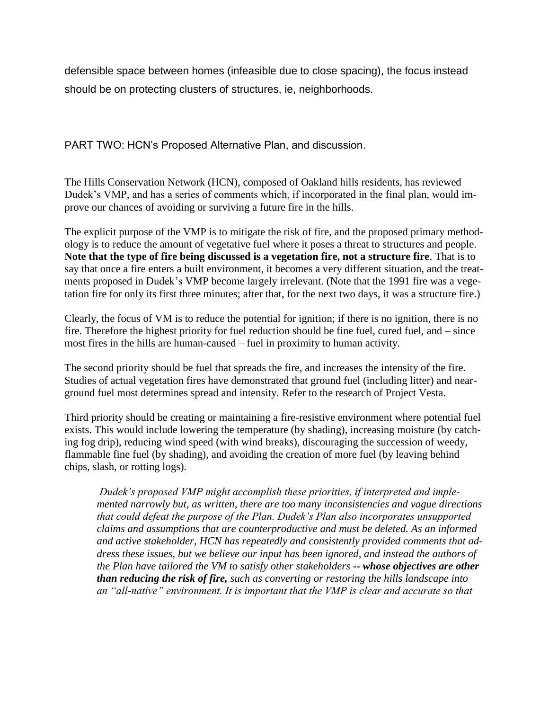defensible space between homes (infeasible due to close spacing), the focus instead should be on protecting clusters of structures, ie, neighborhoods.

PART TWO: HCN's Proposed Alternative Plan, and discussion.

The Hills Conservation Network (HCN), composed of Oakland hills residents, has reviewed Dudek's VMP, and has a series of comments which, if incorporated in the final plan, would improve our chances of avoiding or surviving a future fire in the hills.

The explicit purpose of the VMP is to mitigate the risk of fire, and the proposed primary methodology is to reduce the amount of vegetative fuel where it poses a threat to structures and people. **Note that the type of fire being discussed is a vegetation fire, not a structure fire**. That is to say that once a fire enters a built environment, it becomes a very different situation, and the treatments proposed in Dudek's VMP become largely irrelevant. (Note that the 1991 fire was a vegetation fire for only its first three minutes; after that, for the next two days, it was a structure fire.)

Clearly, the focus of VM is to reduce the potential for ignition; if there is no ignition, there is no fire. Therefore the highest priority for fuel reduction should be fine fuel, cured fuel, and – since most fires in the hills are human-caused – fuel in proximity to human activity.

The second priority should be fuel that spreads the fire, and increases the intensity of the fire. Studies of actual vegetation fires have demonstrated that ground fuel (including litter) and nearground fuel most determines spread and intensity. Refer to the research of Project Vesta.

Third priority should be creating or maintaining a fire-resistive environment where potential fuel exists. This would include lowering the temperature (by shading), increasing moisture (by catching fog drip), reducing wind speed (with wind breaks), discouraging the succession of weedy, flammable fine fuel (by shading), and avoiding the creation of more fuel (by leaving behind chips, slash, or rotting logs).

*Dudek's proposed VMP might accomplish these priorities, if interpreted and implemented narrowly but, as written, there are too many inconsistencies and vague directions that could defeat the purpose of the Plan. Dudek's Plan also incorporates unsupported claims and assumptions that are counterproductive and must be deleted. As an informed and active stakeholder, HCN has repeatedly and consistently provided comments that address these issues, but we believe our input has been ignored, and instead the authors of the Plan have tailored the VM to satisfy other stakeholders -- whose objectives are other than reducing the risk of fire, such as converting or restoring the hills landscape into an "all-native" environment. It is important that the VMP is clear and accurate so that*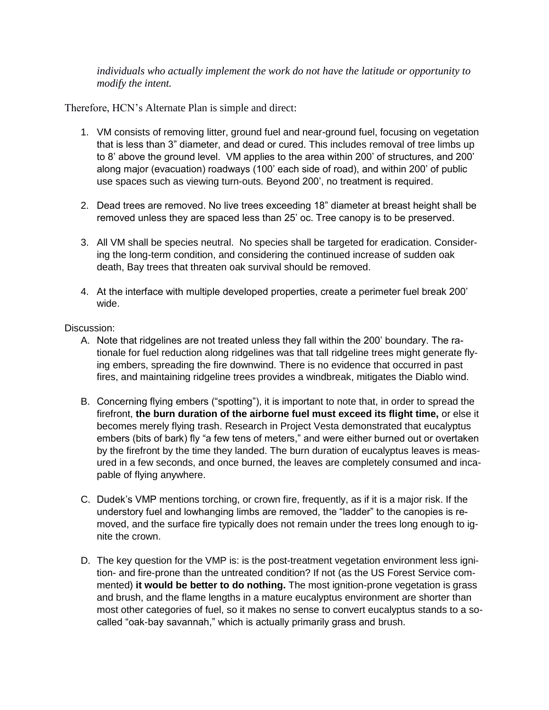*individuals who actually implement the work do not have the latitude or opportunity to modify the intent.*

Therefore, HCN's Alternate Plan is simple and direct:

- 1. VM consists of removing litter, ground fuel and near-ground fuel, focusing on vegetation that is less than 3" diameter, and dead or cured. This includes removal of tree limbs up to 8' above the ground level. VM applies to the area within 200' of structures, and 200' along major (evacuation) roadways (100' each side of road), and within 200' of public use spaces such as viewing turn-outs. Beyond 200', no treatment is required.
- 2. Dead trees are removed. No live trees exceeding 18" diameter at breast height shall be removed unless they are spaced less than 25' oc. Tree canopy is to be preserved.
- 3. All VM shall be species neutral. No species shall be targeted for eradication. Considering the long-term condition, and considering the continued increase of sudden oak death, Bay trees that threaten oak survival should be removed.
- 4. At the interface with multiple developed properties, create a perimeter fuel break 200' wide.

## Discussion:

- A. Note that ridgelines are not treated unless they fall within the 200' boundary. The rationale for fuel reduction along ridgelines was that tall ridgeline trees might generate flying embers, spreading the fire downwind. There is no evidence that occurred in past fires, and maintaining ridgeline trees provides a windbreak, mitigates the Diablo wind.
- B. Concerning flying embers ("spotting"), it is important to note that, in order to spread the firefront, **the burn duration of the airborne fuel must exceed its flight time,** or else it becomes merely flying trash. Research in Project Vesta demonstrated that eucalyptus embers (bits of bark) fly "a few tens of meters," and were either burned out or overtaken by the firefront by the time they landed. The burn duration of eucalyptus leaves is measured in a few seconds, and once burned, the leaves are completely consumed and incapable of flying anywhere.
- C. Dudek's VMP mentions torching, or crown fire, frequently, as if it is a major risk. If the understory fuel and lowhanging limbs are removed, the "ladder" to the canopies is removed, and the surface fire typically does not remain under the trees long enough to ignite the crown.
- D. The key question for the VMP is: is the post-treatment vegetation environment less ignition- and fire-prone than the untreated condition? If not (as the US Forest Service commented) **it would be better to do nothing.** The most ignition-prone vegetation is grass and brush, and the flame lengths in a mature eucalyptus environment are shorter than most other categories of fuel, so it makes no sense to convert eucalyptus stands to a socalled "oak-bay savannah," which is actually primarily grass and brush.